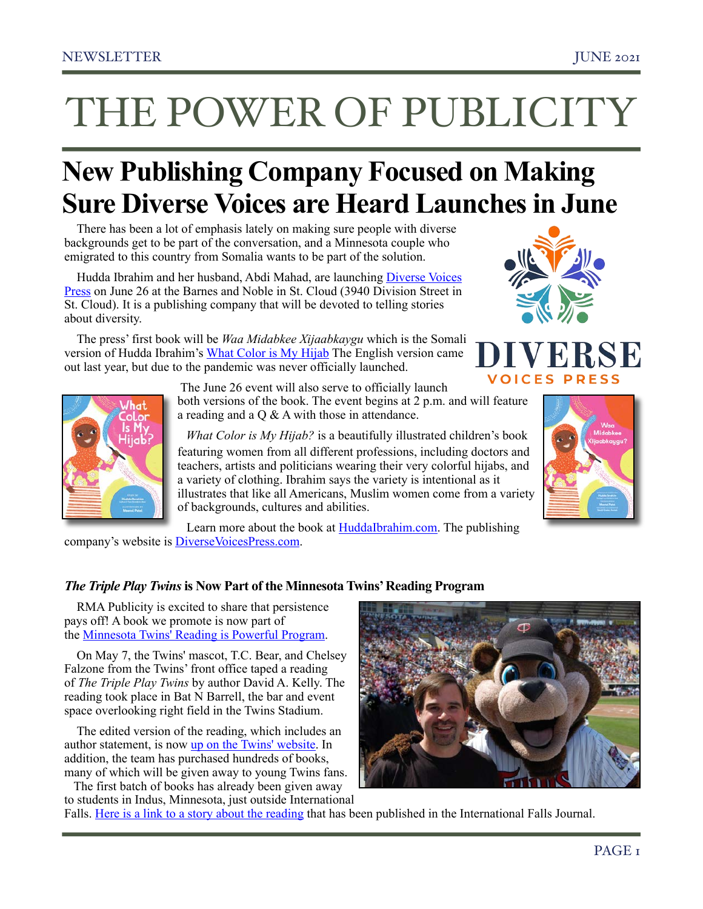# THE POWER OF PUBLICITY

## **New Publishing Company Focused on Making Sure Diverse Voices are Heard Launches in June**

There has been a lot of emphasis lately on making sure people with diverse backgrounds get to be part of the conversation, and a Minnesota couple who emigrated to this country from Somalia wants to be part of the solution.

Hudda Ibrahim and her husband, Abdi Mahad, are launching Diverse Voices [Press](http://www.diversevoicespress.com/) on June 26 at the Barnes and Noble in St. Cloud (3940 Division Street in St. Cloud). It is a publishing company that will be devoted to telling stories about diversity.

The press' first book will be *Waa Midabkee Xijaabkaygu* which is the Somali version of Hudda Ibrahim's [What Color is My Hijab](https://huddaibrahim.com/) The English version came out last year, but due to the pandemic was never officially launched.





 The June 26 event will also serve to officially launch both versions of the book. The event begins at 2 p.m. and will feature a reading and a Q & A with those in attendance.

 *What Color is My Hijab?* is a beautifully illustrated children's book featuring women from all different professions, including doctors and teachers, artists and politicians wearing their very colorful hijabs, and a variety of clothing. Ibrahim says the variety is intentional as it illustrates that like all Americans, Muslim women come from a variety of backgrounds, cultures and abilities.



RSE

Learn more about the book at [HuddaIbrahim.com.](https://huddaibrahim.com/) The publishing company's website is [DiverseVoicesPress.com](https://www.diversevoicespress.com/).

### *The Triple Play Twins* **is Now Part of the Minnesota Twins' Reading Program**

RMA Publicity is excited to share that persistence pays off! A book we promote is now part of the [Minnesota Twins' Reading is Powerful Program](https://www.mlb.com/twins/fans/kids/reading-is-powerful).

On May 7, the Twins' mascot, T.C. Bear, and Chelsey Falzone from the Twins' front office taped a reading of *The Triple Play Twins* by author David A. Kelly. The reading took place in Bat N Barrell, the bar and event space overlooking right field in the Twins Stadium.

The edited version of the reading, which includes an author statement, is now [up on the Twins' website.](https://www.mlb.com/twins/fans/kids/reading-is-powerful) In addition, the team has purchased hundreds of books, many of which will be given away to young Twins fans.

 The first batch of books has already been given away to students in Indus, Minnesota, just outside International



Falls. [Here is a link to a story about the reading](https://www.ifallsjournal.com/news/education/former-mn-twins-player-reads-to-indus-students/article_1eea1bd0-dec4-5859-8b98-cc0f1a97a6a2.html) that has been published in the International Falls Journal.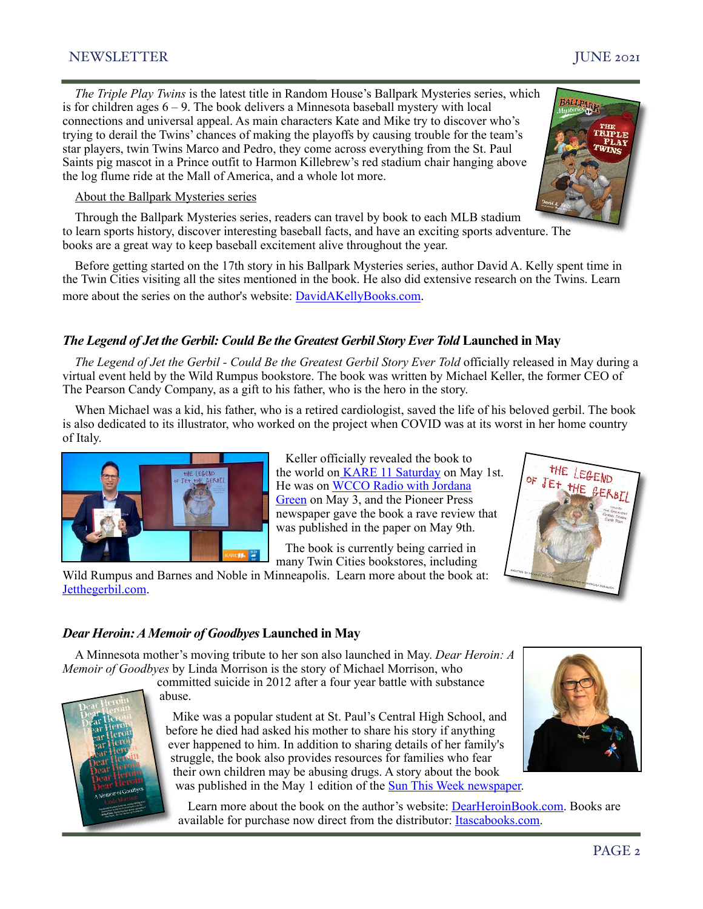#### NEWSLETTER JUNE 2021

*The Triple Play Twins* is the latest title in Random House's Ballpark Mysteries series, which is for children ages  $6 - 9$ . The book delivers a Minnesota baseball mystery with local connections and universal appeal. As main characters Kate and Mike try to discover who's trying to derail the Twins' chances of making the playoffs by causing trouble for the team's star players, twin Twins Marco and Pedro, they come across everything from the St. Paul Saints pig mascot in a Prince outfit to Harmon Killebrew's red stadium chair hanging above the log flume ride at the Mall of America, and a whole lot more.

#### About the Ballpark Mysteries series

Through the Ballpark Mysteries series, readers can travel by book to each MLB stadium to learn sports history, discover interesting baseball facts, and have an exciting sports adventure. The books are a great way to keep baseball excitement alive throughout the year.

Before getting started on the 17th story in his Ballpark Mysteries series, author David A. Kelly spent time in the Twin Cities visiting all the sites mentioned in the book. He also did extensive research on the Twins. Learn more about the series on the author's website: [DavidAKellyBooks.com.](http://davidakellybooks.com/)

#### *The Legend of Jet the Gerbil: Could Be the Greatest Gerbil Story Ever Told Launched in May*

*The Legend of Jet the Gerbil - Could Be the Greatest Gerbil Story Ever Told officially released in May during a* virtual event held by the Wild Rumpus bookstore. The book was written by Michael Keller, the former CEO of The Pearson Candy Company, as a gift to his father, who is the hero in the story.

When Michael was a kid, his father, who is a retired cardiologist, saved the life of his beloved gerbil. The book is also dedicated to its illustrator, who worked on the project when COVID was at its worst in her home country of Italy.



 The book is currently being carried in many Twin Cities bookstores, including

Wild Rumpus and Barnes and Noble in Minneapolis. Learn more about the book at: [Jetthegerbil.com.](http://www.jetthegerbil.com/)



#### *Dear Heroin: A Memoir of Goodbyes* **Launched in May**

A Minnesota mother's moving tribute to her son also launched in May. *Dear Heroin: A Memoir of Goodbyes* by Linda Morrison is the story of Michael Morrison, who

committed suicide in 2012 after a four year battle with substance abuse.



 Mike was a popular student at St. Paul's Central High School, and before he died had asked his mother to share his story if anything ever happened to him. In addition to sharing details of her family's struggle, the book also provides resources for families who fear their own children may be abusing drugs. A story about the book was published in the May 1 edition of the [Sun This Week newspaper.](https://www.hometownsource.com/sun_thisweek/community/eagan/eagan-mom-details-son-s-life-in-new-book/article_2f6053cc-a932-11eb-aa93-8f186941f206.html)



 Learn more about the book on the author's website: [DearHeroinBook.com.](https://www.dearheroinbook.com/) Books are available for purchase now direct from the distributor: **[Itascabooks.com](https://itascabooks.com/dear-heroin-a-memoir-of-goodbyes/)**.

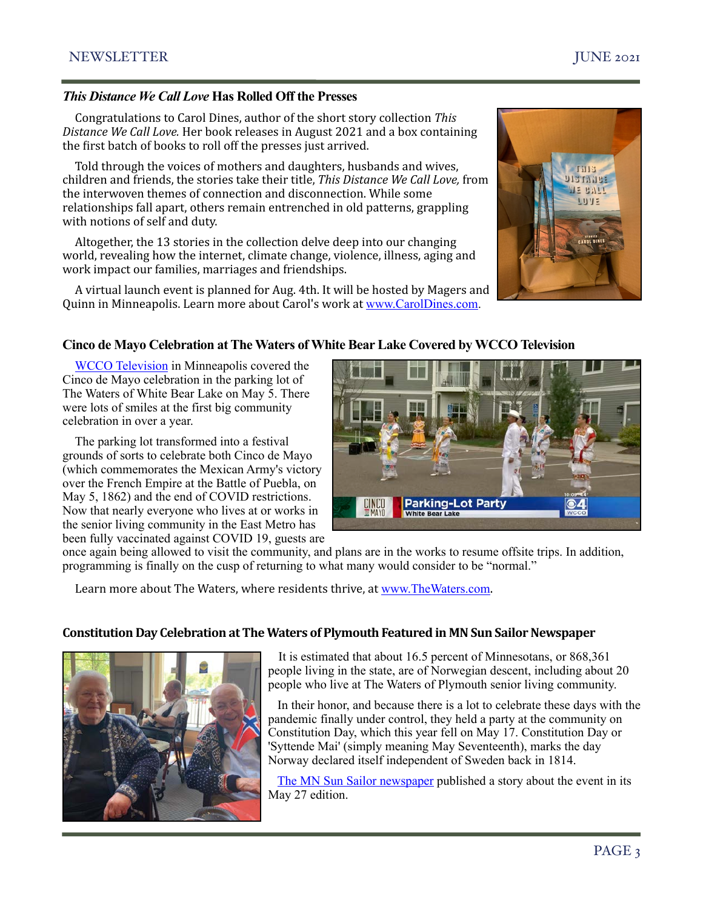#### *This Distance We Call Love* **Has Rolled Off the Presses**

Congratulations to Carol Dines, author of the short story collection This Distance We Call Love. Her book releases in August 2021 and a box containing the first batch of books to roll off the presses just arrived.

Told through the voices of mothers and daughters, husbands and wives, children and friends, the stories take their title, *This Distance We Call Love*, from the interwoven themes of connection and disconnection. While some relationships fall apart, others remain entrenched in old patterns, grappling with notions of self and duty.

Altogether, the 13 stories in the collection delve deep into our changing world, revealing how the internet, climate change, violence, illness, aging and work impact our families, marriages and friendships.

A virtual launch event is planned for Aug. 4th. It will be hosted by Magers and Quinn in Minneapolis. Learn more about Carol's work at [www.CarolDines.com.](http://www.caroldines.com/?fbclid=IwAR1IFb6CHpTCPo_M5NNBWUxgdCtBNudsmh84tIfQW3I6qACMlSfta3wHd3k)



#### **Cinco de Mayo Celebration at The Waters of White Bear Lake Covered by WCCO Television**

[WCCO Television](https://youtu.be/lsFt62sAL6Q) in Minneapolis covered the Cinco de Mayo celebration in the parking lot of The Waters of White Bear Lake on May 5. There were lots of smiles at the first big community celebration in over a year.

The parking lot transformed into a festival grounds of sorts to celebrate both Cinco de Mayo (which commemorates the Mexican Army's victory over the French Empire at the Battle of Puebla, on May 5, 1862) and the end of COVID restrictions. Now that nearly everyone who lives at or works in the senior living community in the East Metro has been fully vaccinated against COVID 19, guests are

**CINCO**<br>**EMAYO Parking-Lot Party White Bear Lake** 

once again being allowed to visit the community, and plans are in the works to resume offsite trips. In addition, programming is finally on the cusp of returning to what many would consider to be "normal."

Learn more about The Waters, where residents thrive, at [www.TheWaters.com](http://www.thewaters.com).

#### **Constitution Day Celebration at The Waters of Plymouth Featured in MN Sun Sailor Newspaper**



It is estimated that about 16.5 percent of Minnesotans, or 868,361 people living in the state, are of Norwegian descent, including about 20 people who live at The Waters of Plymouth senior living community.

 In their honor, and because there is a lot to celebrate these days with the pandemic finally under control, they held a party at the community on Constitution Day, which this year fell on May 17. Constitution Day or 'Syttende Mai' (simply meaning May Seventeenth), marks the day Norway declared itself independent of Sweden back in 1814.

 [The MN Sun Sailor newspaper](https://bloximages.chicago2.vip.townnews.com/hometownsource.com/content/tncms/assets/v3/eedition/e/68/e6857a52-2817-5589-b347-616c0d1867a3/60ae9f6da82e8.pdf.pdf) published a story about the event in its May 27 edition.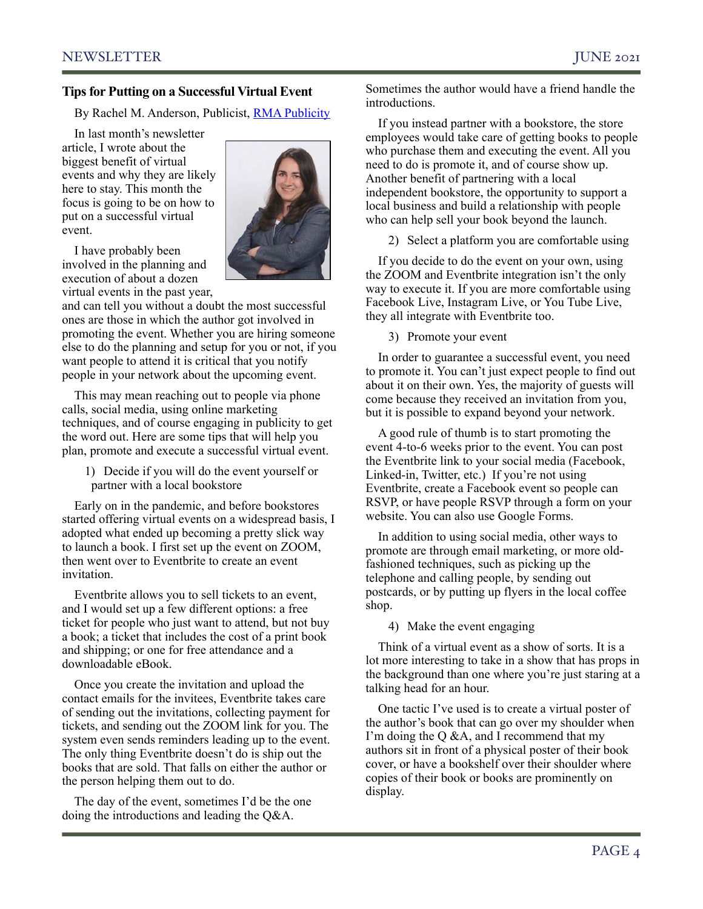#### **Tips for Putting on a Successful Virtual Event**

By Rachel M. Anderson, Publicist, [RMA Publicity](http://www.rmapublicity.com)

In last month's newsletter article, I wrote about the biggest benefit of virtual events and why they are likely here to stay. This month the focus is going to be on how to put on a successful virtual event.



I have probably been involved in the planning and execution of about a dozen virtual events in the past year,

and can tell you without a doubt the most successful ones are those in which the author got involved in promoting the event. Whether you are hiring someone else to do the planning and setup for you or not, if you want people to attend it is critical that you notify people in your network about the upcoming event.

This may mean reaching out to people via phone calls, social media, using online marketing techniques, and of course engaging in publicity to get the word out. Here are some tips that will help you plan, promote and execute a successful virtual event.

1) Decide if you will do the event yourself or partner with a local bookstore

Early on in the pandemic, and before bookstores started offering virtual events on a widespread basis, I adopted what ended up becoming a pretty slick way to launch a book. I first set up the event on ZOOM, then went over to Eventbrite to create an event invitation.

Eventbrite allows you to sell tickets to an event, and I would set up a few different options: a free ticket for people who just want to attend, but not buy a book; a ticket that includes the cost of a print book and shipping; or one for free attendance and a downloadable eBook.

Once you create the invitation and upload the contact emails for the invitees, Eventbrite takes care of sending out the invitations, collecting payment for tickets, and sending out the ZOOM link for you. The system even sends reminders leading up to the event. The only thing Eventbrite doesn't do is ship out the books that are sold. That falls on either the author or the person helping them out to do.

The day of the event, sometimes I'd be the one doing the introductions and leading the Q&A.

Sometimes the author would have a friend handle the introductions.

If you instead partner with a bookstore, the store employees would take care of getting books to people who purchase them and executing the event. All you need to do is promote it, and of course show up. Another benefit of partnering with a local independent bookstore, the opportunity to support a local business and build a relationship with people who can help sell your book beyond the launch.

2) Select a platform you are comfortable using

If you decide to do the event on your own, using the ZOOM and Eventbrite integration isn't the only way to execute it. If you are more comfortable using Facebook Live, Instagram Live, or You Tube Live, they all integrate with Eventbrite too.

3) Promote your event

In order to guarantee a successful event, you need to promote it. You can't just expect people to find out about it on their own. Yes, the majority of guests will come because they received an invitation from you, but it is possible to expand beyond your network.

A good rule of thumb is to start promoting the event 4-to-6 weeks prior to the event. You can post the Eventbrite link to your social media (Facebook, Linked-in, Twitter, etc.) If you're not using Eventbrite, create a Facebook event so people can RSVP, or have people RSVP through a form on your website. You can also use Google Forms.

In addition to using social media, other ways to promote are through email marketing, or more oldfashioned techniques, such as picking up the telephone and calling people, by sending out postcards, or by putting up flyers in the local coffee shop.

4) Make the event engaging

Think of a virtual event as a show of sorts. It is a lot more interesting to take in a show that has props in the background than one where you're just staring at a talking head for an hour.

One tactic I've used is to create a virtual poster of the author's book that can go over my shoulder when I'm doing the Q &A, and I recommend that my authors sit in front of a physical poster of their book cover, or have a bookshelf over their shoulder where copies of their book or books are prominently on display.